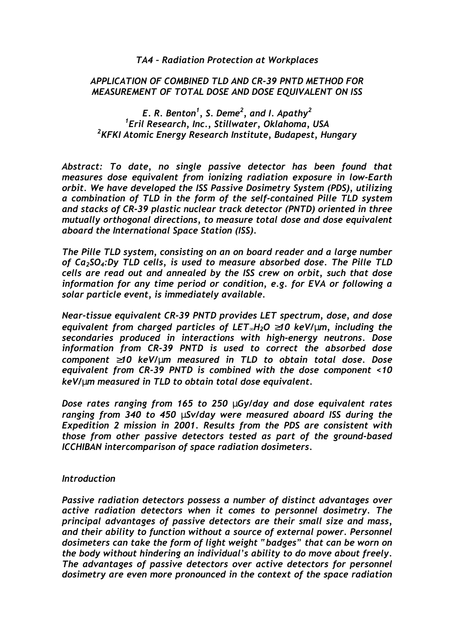## *TA4 – Radiation Protection at Workplaces*

## *APPLICATION OF COMBINED TLD AND CR-39 PNTD METHOD FOR MEASUREMENT OF TOTAL DOSE AND DOSE EQUIVALENT ON ISS*

# *E. R. Benton1 , S. Deme2 , and I. Apathy<sup>2</sup> 1 Eril Research, Inc., Stillwater, Oklahoma, USA 2 KFKI Atomic Energy Research Institute, Budapest, Hungary*

*Abstract: To date, no single passive detector has been found that measures dose equivalent from ionizing radiation exposure in low-Earth orbit. We have developed the ISS Passive Dosimetry System (PDS), utilizing a combination of TLD in the form of the self-contained Pille TLD system and stacks of CR-39 plastic nuclear track detector (PNTD) oriented in three mutually orthogonal directions, to measure total dose and dose equivalent aboard the International Space Station (ISS).* 

*The Pille TLD system, consisting on an on board reader and a large number of Ca2SO4:Dy TLD cells, is used to measure absorbed dose. The Pille TLD cells are read out and annealed by the ISS crew on orbit, such that dose information for any time period or condition, e.g. for EVA or following a solar particle event, is immediately available.* 

*Near-tissue equivalent CR-39 PNTD provides LET spectrum, dose, and dose equivalent from charged particles of LET*∞*H2O* ≥*10 keV/*µ*m, including the secondaries produced in interactions with high-energy neutrons. Dose information from CR-39 PNTD is used to correct the absorbed dose component* ≥*10 keV/*µ*m measured in TLD to obtain total dose. Dose equivalent from CR-39 PNTD is combined with the dose component <10 keV/*µ*m measured in TLD to obtain total dose equivalent.* 

*Dose rates ranging from 165 to 250* µ*Gy/day and dose equivalent rates ranging from 340 to 450* µ*Sv/day were measured aboard ISS during the Expedition 2 mission in 2001. Results from the PDS are consistent with those from other passive detectors tested as part of the ground-based ICCHIBAN intercomparison of space radiation dosimeters.* 

#### *Introduction*

*Passive radiation detectors possess a number of distinct advantages over active radiation detectors when it comes to personnel dosimetry. The principal advantages of passive detectors are their small size and mass, and their ability to function without a source of external power. Personnel dosimeters can take the form of light weight "badges" that can be worn on the body without hindering an individual's ability to do move about freely. The advantages of passive detectors over active detectors for personnel dosimetry are even more pronounced in the context of the space radiation*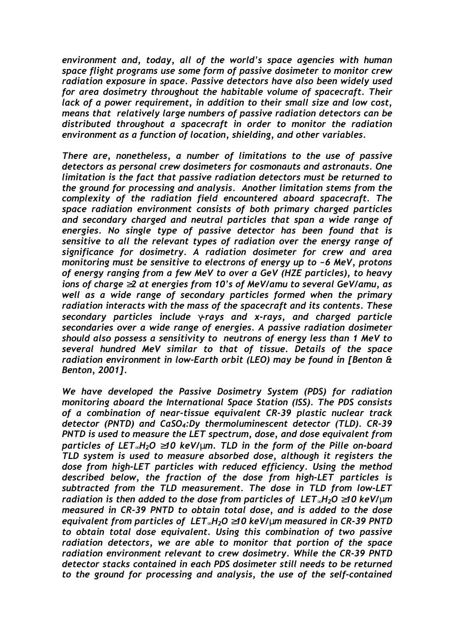*environment and, today, all of the world's space agencies with human space flight programs use some form of passive dosimeter to monitor crew radiation exposure in space. Passive detectors have also been widely used for area dosimetry throughout the habitable volume of spacecraft. Their lack of a power requirement, in addition to their small size and low cost, means that relatively large numbers of passive radiation detectors can be distributed throughout a spacecraft in order to monitor the radiation environment as a function of location, shielding, and other variables.* 

*There are, nonetheless, a number of limitations to the use of passive detectors as personal crew dosimeters for cosmonauts and astronauts. One limitation is the fact that passive radiation detectors must be returned to the ground for processing and analysis. Another limitation stems from the complexity of the radiation field encountered aboard spacecraft. The space radiation environment consists of both primary charged particles and secondary charged and neutral particles that span a wide range of energies. No single type of passive detector has been found that is sensitive to all the relevant types of radiation over the energy range of significance for dosimetry. A radiation dosimeter for crew and area monitoring must be sensitive to electrons of energy up to ~6 MeV, protons of energy ranging from a few MeV to over a GeV (HZE particles), to heavy ions of charge* ≥*2 at energies from 10's of MeV/amu to several GeV/amu, as well as a wide range of secondary particles formed when the primary radiation interacts with the mass of the spacecraft and its contents. These secondary particles include* γ*-rays and x-rays, and charged particle secondaries over a wide range of energies. A passive radiation dosimeter should also possess a sensitivity to neutrons of energy less than 1 MeV to several hundred MeV similar to that of tissue. Details of the space radiation environment in low-Earth orbit (LEO) may be found in [Benton & Benton, 2001].* 

*We have developed the Passive Dosimetry System (PDS) for radiation monitoring aboard the International Space Station (ISS). The PDS consists of a combination of near-tissue equivalent CR-39 plastic nuclear track detector (PNTD) and CaSO4:Dy thermoluminescent detector (TLD). CR-39 PNTD is used to measure the LET spectrum, dose, and dose equivalent from particles of LET*∞*H2O* ≥*10 keV/*µ*m. TLD in the form of the Pille on-board TLD system is used to measure absorbed dose, although it registers the dose from high-LET particles with reduced efficiency. Using the method described below, the fraction of the dose from high-LET particles is subtracted from the TLD measurement. The dose in TLD from low-LET radiation is then added to the dose from particles of LET*∞*H2O* ≥*10 keV/*µ*m measured in CR-39 PNTD to obtain total dose, and is added to the dose equivalent from particles of LET*∞*H2O* ≥*10 keV/*µ*m measured in CR-39 PNTD to obtain total dose equivalent. Using this combination of two passive radiation detectors, we are able to monitor that portion of the space radiation environment relevant to crew dosimetry. While the CR-39 PNTD detector stacks contained in each PDS dosimeter still needs to be returned to the ground for processing and analysis, the use of the self-contained*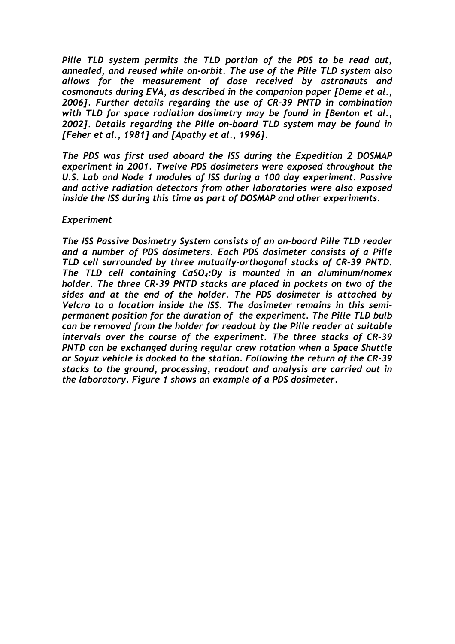*Pille TLD system permits the TLD portion of the PDS to be read out, annealed, and reused while on-orbit. The use of the Pille TLD system also allows for the measurement of dose received by astronauts and cosmonauts during EVA, as described in the companion paper [Deme et al., 2006]. Further details regarding the use of CR-39 PNTD in combination with TLD for space radiation dosimetry may be found in [Benton et al., 2002]. Details regarding the Pille on-board TLD system may be found in [Feher et al., 1981] and [Apathy et al., 1996].* 

*The PDS was first used aboard the ISS during the Expedition 2 DOSMAP experiment in 2001. Twelve PDS dosimeters were exposed throughout the U.S. Lab and Node 1 modules of ISS during a 100 day experiment. Passive and active radiation detectors from other laboratories were also exposed inside the ISS during this time as part of DOSMAP and other experiments.* 

### *Experiment*

*The ISS Passive Dosimetry System consists of an on-board Pille TLD reader and a number of PDS dosimeters. Each PDS dosimeter consists of a Pille TLD cell surrounded by three mutually-orthogonal stacks of CR-39 PNTD. The TLD cell containing CaSO4:Dy is mounted in an aluminum/nomex holder. The three CR-39 PNTD stacks are placed in pockets on two of the sides and at the end of the holder. The PDS dosimeter is attached by Velcro to a location inside the ISS. The dosimeter remains in this semipermanent position for the duration of the experiment. The Pille TLD bulb can be removed from the holder for readout by the Pille reader at suitable intervals over the course of the experiment. The three stacks of CR-39 PNTD can be exchanged during regular crew rotation when a Space Shuttle or Soyuz vehicle is docked to the station. Following the return of the CR-39 stacks to the ground, processing, readout and analysis are carried out in the laboratory. Figure 1 shows an example of a PDS dosimeter.*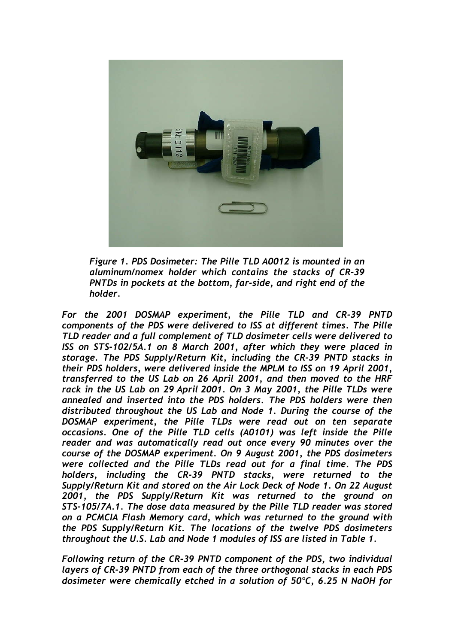

*Figure 1. PDS Dosimeter: The Pille TLD A0012 is mounted in an aluminum/nomex holder which contains the stacks of CR-39 PNTDs in pockets at the bottom, far-side, and right end of the holder.* 

*For the 2001 DOSMAP experiment, the Pille TLD and CR-39 PNTD components of the PDS were delivered to ISS at different times. The Pille TLD reader and a full complement of TLD dosimeter cells were delivered to ISS on STS-102/5A.1 on 8 March 2001, after which they were placed in storage. The PDS Supply/Return Kit, including the CR-39 PNTD stacks in their PDS holders, were delivered inside the MPLM to ISS on 19 April 2001, transferred to the US Lab on 26 April 2001, and then moved to the HRF rack in the US Lab on 29 April 2001. On 3 May 2001, the Pille TLDs were annealed and inserted into the PDS holders. The PDS holders were then distributed throughout the US Lab and Node 1. During the course of the DOSMAP experiment, the Pille TLDs were read out on ten separate occasions. One of the Pille TLD cells (A0101) was left inside the Pille reader and was automatically read out once every 90 minutes over the course of the DOSMAP experiment. On 9 August 2001, the PDS dosimeters were collected and the Pille TLDs read out for a final time. The PDS holders, including the CR-39 PNTD stacks, were returned to the Supply/Return Kit and stored on the Air Lock Deck of Node 1. On 22 August 2001, the PDS Supply/Return Kit was returned to the ground on STS-105/7A.1. The dose data measured by the Pille TLD reader was stored on a PCMCIA Flash Memory card, which was returned to the ground with the PDS Supply/Return Kit. The locations of the twelve PDS dosimeters throughout the U.S. Lab and Node 1 modules of ISS are listed in Table 1.* 

*Following return of the CR-39 PNTD component of the PDS, two individual layers of CR-39 PNTD from each of the three orthogonal stacks in each PDS dosimeter were chemically etched in a solution of 50*°*C, 6.25 N NaOH for*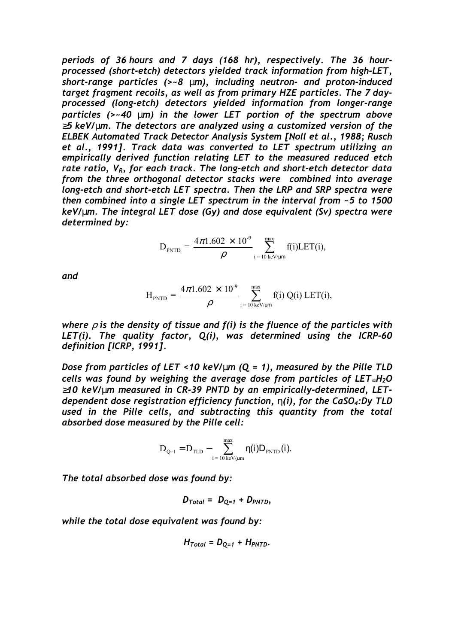*periods of 36 hours and 7 days (168 hr), respectively. The 36 hourprocessed (short-etch) detectors yielded track information from high-LET, short-range particles (>~8* µ*m), including neutron- and proton-induced target fragment recoils, as well as from primary HZE particles. The 7 dayprocessed (long-etch) detectors yielded information from longer-range particles (>~40* µ*m) in the lower LET portion of the spectrum above*  ≥*5 keV/*µ*m. The detectors are analyzed using a customized version of the ELBEK Automated Track Detector Analysis System [Noll et al., 1988; Rusch et al., 1991]. Track data was converted to LET spectrum utilizing an empirically derived function relating LET to the measured reduced etch rate ratio, VR, for each track. The long-etch and short-etch detector data from the three orthogonal detector stacks were combined into average long-etch and short-etch LET spectra. Then the LRP and SRP spectra were then combined into a single LET spectrum in the interval from ~5 to 1500 keV/*µ*m. The integral LET dose (Gy) and dose equivalent (Sv) spectra were determined by:* 

$$
\mathbf{D}_{\text{PNTD}} = \frac{4\pi 1.602 \times 10^{-9}}{\rho} \sum_{\mathbf{i}=\mathbf{10 \, keV/\mu m}}^{\text{max}} f(\mathbf{i}) \text{LET}(\mathbf{i}),
$$

*and* 

$$
H_{\text{PNTD}} = \frac{4\pi 1.602 \times 10^{-9}}{\rho} \sum_{i=10 \text{ keV/µm}}^{max} f(i) Q(i) \text{ LET}(i),
$$

*where*  $\rho$  *is the density of tissue and f(i) is the fluence of the particles with LET(i). The quality factor, Q(i), was determined using the ICRP-60 definition [ICRP, 1991].* 

*Dose from particles of LET <10 keV/*µ*m (Q = 1), measured by the Pille TLD cells was found by weighing the average dose from particles of LET*∞*H2O*  ≥*10 keV/*µ*m measured in CR-39 PNTD by an empirically-determined, LETdependent dose registration efficiency function,* η*(i), for the CaSO4:Dy TLD used in the Pille cells, and subtracting this quantity from the total absorbed dose measured by the Pille cell:* 

$$
\boldsymbol{D}_{\mathrm{Q=1}} = \boldsymbol{D}_{\mathrm{TLD}} - \sum_{i \text{ = 10 keV/\mu m}}^{max} \boldsymbol{\eta(i)} \boldsymbol{D}_{\mathrm{PNTD}}(i).
$$

*The total absorbed dose was found by:* 

$$
D_{Total} = D_{Q=1} + D_{PNTD},
$$

*while the total dose equivalent was found by:* 

$$
H_{Total} = D_{Q=1} + H_{PNTD}.
$$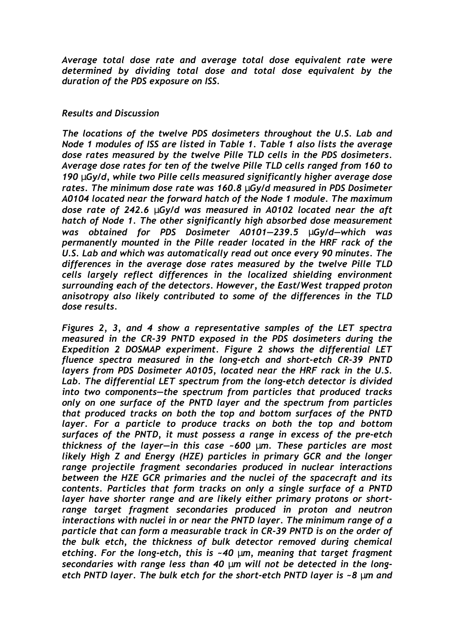*Average total dose rate and average total dose equivalent rate were determined by dividing total dose and total dose equivalent by the duration of the PDS exposure on ISS.* 

# *Results and Discussion*

*The locations of the twelve PDS dosimeters throughout the U.S. Lab and Node 1 modules of ISS are listed in Table 1. Table 1 also lists the average dose rates measured by the twelve Pille TLD cells in the PDS dosimeters. Average dose rates for ten of the twelve Pille TLD cells ranged from 160 to 190* µ*Gy/d, while two Pille cells measured significantly higher average dose rates. The minimum dose rate was 160.8* µ*Gy/d measured in PDS Dosimeter A0104 located near the forward hatch of the Node 1 module. The maximum dose rate of 242.6* µ*Gy/d was measured in A0102 located near the aft hatch of Node 1. The other significantly high absorbed dose measurement was obtained for PDS Dosimeter A0101—239.5* µ*Gy/d—which was permanently mounted in the Pille reader located in the HRF rack of the U.S. Lab and which was automatically read out once every 90 minutes. The differences in the average dose rates measured by the twelve Pille TLD cells largely reflect differences in the localized shielding environment surrounding each of the detectors. However, the East/West trapped proton anisotropy also likely contributed to some of the differences in the TLD dose results.* 

*Figures 2, 3, and 4 show a representative samples of the LET spectra measured in the CR-39 PNTD exposed in the PDS dosimeters during the Expedition 2 DOSMAP experiment. Figure 2 shows the differential LET fluence spectra measured in the long-etch and short-etch CR-39 PNTD layers from PDS Dosimeter A0105, located near the HRF rack in the U.S. Lab. The differential LET spectrum from the long-etch detector is divided into two components—the spectrum from particles that produced tracks only on one surface of the PNTD layer and the spectrum from particles that produced tracks on both the top and bottom surfaces of the PNTD*  layer. For a particle to produce tracks on both the top and bottom *surfaces of the PNTD, it must possess a range in excess of the pre-etch thickness of the layer—in this case ~600* µ*m. These particles are most likely High Z and Energy (HZE) particles in primary GCR and the longer range projectile fragment secondaries produced in nuclear interactions between the HZE GCR primaries and the nuclei of the spacecraft and its contents. Particles that form tracks on only a single surface of a PNTD layer have shorter range and are likely either primary protons or shortrange target fragment secondaries produced in proton and neutron interactions with nuclei in or near the PNTD layer. The minimum range of a particle that can form a measurable track in CR-39 PNTD is on the order of the bulk etch, the thickness of bulk detector removed during chemical etching. For the long-etch, this is ~40* µ*m, meaning that target fragment secondaries with range less than 40* µ*m will not be detected in the longetch PNTD layer. The bulk etch for the short-etch PNTD layer is ~8* µ*m and*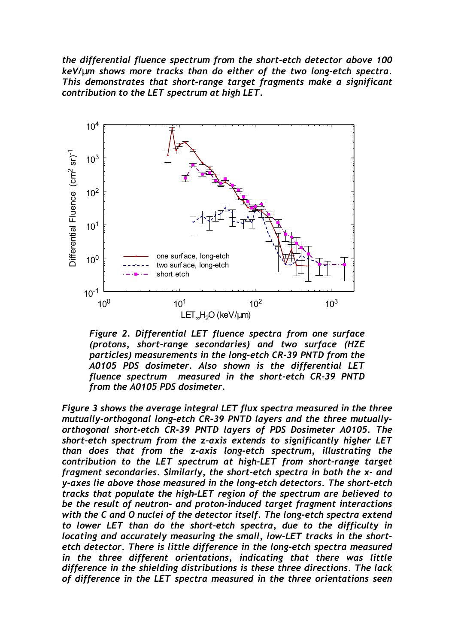*the differential fluence spectrum from the short-etch detector above 100 keV/*µ*m shows more tracks than do either of the two long-etch spectra. This demonstrates that short-range target fragments make a significant contribution to the LET spectrum at high LET.* 



*Figure 2. Differential LET fluence spectra from one surface (protons, short-range secondaries) and two surface (HZE particles) measurements in the long-etch CR-39 PNTD from the A0105 PDS dosimeter. Also shown is the differential LET fluence spectrum measured in the short-etch CR-39 PNTD from the A0105 PDS dosimeter.* 

*Figure 3 shows the average integral LET flux spectra measured in the three mutually-orthogonal long-etch CR-39 PNTD layers and the three mutuallyorthogonal short-etch CR-39 PNTD layers of PDS Dosimeter A0105. The short-etch spectrum from the z-axis extends to significantly higher LET than does that from the z-axis long-etch spectrum, illustrating the contribution to the LET spectrum at high-LET from short-range target fragment secondaries. Similarly, the short-etch spectra in both the x- and y-axes lie above those measured in the long-etch detectors. The short-etch tracks that populate the high-LET region of the spectrum are believed to be the result of neutron- and proton-induced target fragment interactions with the C and O nuclei of the detector itself. The long-etch spectra extend to lower LET than do the short-etch spectra, due to the difficulty in locating and accurately measuring the small, low-LET tracks in the shortetch detector. There is little difference in the long-etch spectra measured in the three different orientations, indicating that there was little difference in the shielding distributions is these three directions. The lack of difference in the LET spectra measured in the three orientations seen*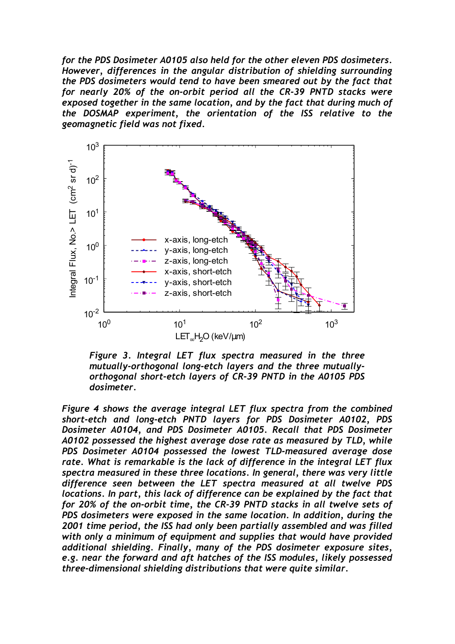*for the PDS Dosimeter A0105 also held for the other eleven PDS dosimeters. However, differences in the angular distribution of shielding surrounding the PDS dosimeters would tend to have been smeared out by the fact that for nearly 20% of the on-orbit period all the CR-39 PNTD stacks were exposed together in the same location, and by the fact that during much of the DOSMAP experiment, the orientation of the ISS relative to the geomagnetic field was not fixed.* 



*Figure 3. Integral LET flux spectra measured in the three mutually-orthogonal long-etch layers and the three mutuallyorthogonal short-etch layers of CR-39 PNTD in the A0105 PDS dosimeter.* 

*Figure 4 shows the average integral LET flux spectra from the combined short-etch and long-etch PNTD layers for PDS Dosimeter A0102, PDS Dosimeter A0104, and PDS Dosimeter A0105. Recall that PDS Dosimeter A0102 possessed the highest average dose rate as measured by TLD, while PDS Dosimeter A0104 possessed the lowest TLD-measured average dose rate. What is remarkable is the lack of difference in the integral LET flux spectra measured in these three locations. In general, there was very little difference seen between the LET spectra measured at all twelve PDS locations. In part, this lack of difference can be explained by the fact that for 20% of the on-orbit time, the CR-39 PNTD stacks in all twelve sets of PDS dosimeters were exposed in the same location. In addition, during the 2001 time period, the ISS had only been partially assembled and was filled with only a minimum of equipment and supplies that would have provided additional shielding. Finally, many of the PDS dosimeter exposure sites, e.g. near the forward and aft hatches of the ISS modules, likely possessed three-dimensional shielding distributions that were quite similar.*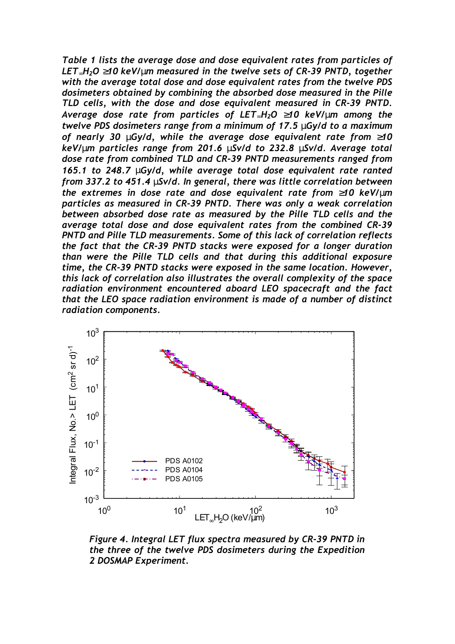*Table 1 lists the average dose and dose equivalent rates from particles of LET*∞*H2O* ≥*10 keV/*µ*m measured in the twelve sets of CR-39 PNTD, together with the average total dose and dose equivalent rates from the twelve PDS dosimeters obtained by combining the absorbed dose measured in the Pille TLD cells, with the dose and dose equivalent measured in CR-39 PNTD. Average dose rate from particles of LET*∞*H2O* ≥*10 keV/*µ*m among the twelve PDS dosimeters range from a minimum of 17.5* µ*Gy/d to a maximum of nearly 30* µ*Gy/d, while the average dose equivalent rate from* ≥*10 keV/*µ*m particles range from 201.6* µ*Sv/d to 232.8* µ*Sv/d. Average total dose rate from combined TLD and CR-39 PNTD measurements ranged from 165.1 to 248.7* µ*Gy/d, while average total dose equivalent rate ranted from 337.2 to 451.4* µ*Sv/d. In general, there was little correlation between the extremes in dose rate and dose equivalent rate from* ≥*10 keV/*µ*m particles as measured in CR-39 PNTD. There was only a weak correlation between absorbed dose rate as measured by the Pille TLD cells and the average total dose and dose equivalent rates from the combined CR-39 PNTD and Pille TLD measurements. Some of this lack of correlation reflects the fact that the CR-39 PNTD stacks were exposed for a longer duration than were the Pille TLD cells and that during this additional exposure time, the CR-39 PNTD stacks were exposed in the same location. However, this lack of correlation also illustrates the overall complexity of the space radiation environment encountered aboard LEO spacecraft and the fact that the LEO space radiation environment is made of a number of distinct radiation components.* 



*Figure 4. Integral LET flux spectra measured by CR-39 PNTD in the three of the twelve PDS dosimeters during the Expedition 2 DOSMAP Experiment.*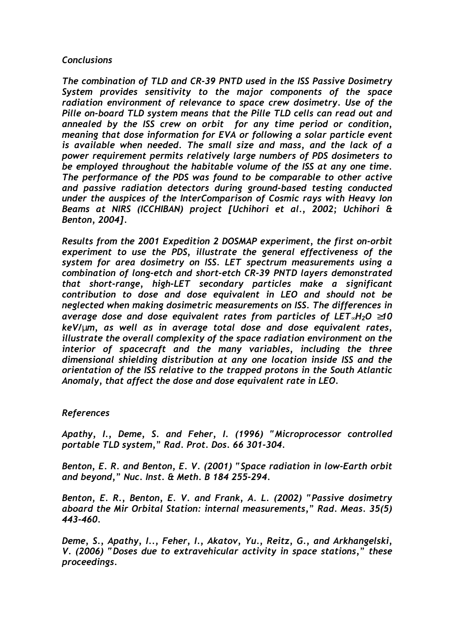## *Conclusions*

*The combination of TLD and CR-39 PNTD used in the ISS Passive Dosimetry System provides sensitivity to the major components of the space radiation environment of relevance to space crew dosimetry. Use of the Pille on-board TLD system means that the Pille TLD cells can read out and annealed by the ISS crew on orbit for any time period or condition, meaning that dose information for EVA or following a solar particle event is available when needed. The small size and mass, and the lack of a power requirement permits relatively large numbers of PDS dosimeters to be employed throughout the habitable volume of the ISS at any one time. The performance of the PDS was found to be comparable to other active and passive radiation detectors during ground-based testing conducted under the auspices of the InterComparison of Cosmic rays with Heavy Ion Beams at NIRS (ICCHIBAN) project [Uchihori et al., 2002; Uchihori & Benton, 2004].* 

*Results from the 2001 Expedition 2 DOSMAP experiment, the first on-orbit experiment to use the PDS, illustrate the general effectiveness of the system for area dosimetry on ISS. LET spectrum measurements using a combination of long-etch and short-etch CR-39 PNTD layers demonstrated that short-range, high-LET secondary particles make a significant contribution to dose and dose equivalent in LEO and should not be neglected when making dosimetric measurements on ISS. The differences in average dose and dose equivalent rates from particles of LET*∞*H2O* ≥*10 keV/*µ*m, as well as in average total dose and dose equivalent rates, illustrate the overall complexity of the space radiation environment on the interior of spacecraft and the many variables, including the three dimensional shielding distribution at any one location inside ISS and the orientation of the ISS relative to the trapped protons in the South Atlantic Anomaly, that affect the dose and dose equivalent rate in LEO.* 

# *References*

*Apathy, I., Deme, S. and Feher, I. (1996) "Microprocessor controlled portable TLD system," Rad. Prot. Dos. 66 301-304.* 

*Benton, E. R. and Benton, E. V. (2001) "Space radiation in low-Earth orbit and beyond," Nuc. Inst. & Meth. B 184 255-294.* 

*Benton, E. R., Benton, E. V. and Frank, A. L. (2002) "Passive dosimetry aboard the Mir Orbital Station: internal measurements," Rad. Meas. 35(5) 443-460.* 

*Deme, S., Apathy, I.., Feher, I., Akatov, Yu., Reitz, G., and Arkhangelski, V. (2006) "Doses due to extravehicular activity in space stations," these proceedings.*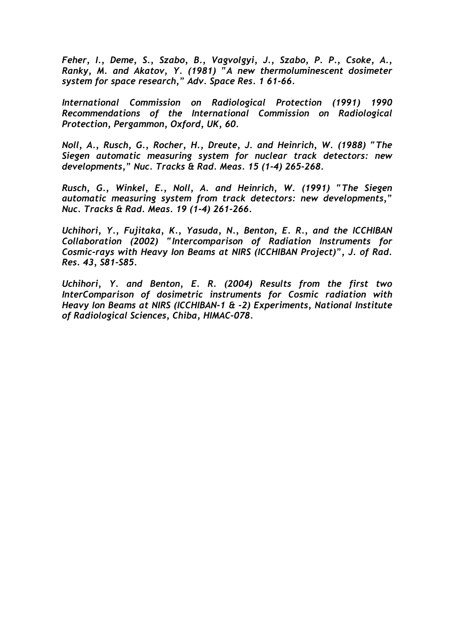*Feher, I., Deme, S., Szabo, B., Vagvolgyi, J., Szabo, P. P., Csoke, A., Ranky, M. and Akatov, Y. (1981) "A new thermoluminescent dosimeter system for space research," Adv. Space Res. 1 61-66.* 

*International Commission on Radiological Protection (1991) 1990 Recommendations of the International Commission on Radiological Protection, Pergammon, Oxford, UK, 60.* 

*Noll, A., Rusch, G., Rocher, H., Dreute, J. and Heinrich, W. (1988) "The Siegen automatic measuring system for nuclear track detectors: new developments," Nuc. Tracks & Rad. Meas. 15 (1-4) 265-268.* 

*Rusch, G., Winkel, E., Noll, A. and Heinrich, W. (1991) "The Siegen automatic measuring system from track detectors: new developments," Nuc. Tracks & Rad. Meas. 19 (1-4) 261-266.* 

*Uchihori, Y., Fujitaka, K., Yasuda, N., Benton, E. R., and the ICCHIBAN Collaboration (2002) "Intercomparison of Radiation Instruments for Cosmic-rays with Heavy Ion Beams at NIRS (ICCHIBAN Project)", J. of Rad. Res. 43, S81-S85.* 

*Uchihori, Y. and Benton, E. R. (2004) Results from the first two InterComparison of dosimetric instruments for Cosmic radiation with Heavy Ion Beams at NIRS (ICCHIBAN-1 & -2) Experiments, National Institute of Radiological Sciences, Chiba, HIMAC-078.*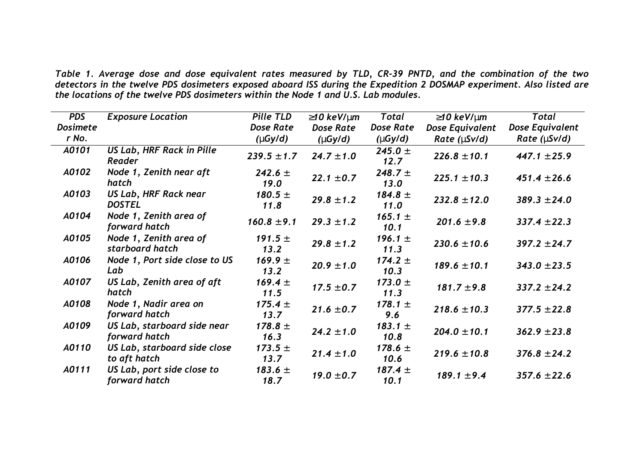*Table 1. Average dose and dose equivalent rates measured by TLD, CR-39 PNTD, and the combination of the two detectors in the twelve PDS dosimeters exposed aboard ISS during the Expedition 2 DOSMAP experiment. Also listed are the locations of the twelve PDS dosimeters within the Node 1 and U.S. Lab modules.* 

| <b>PDS</b>      | <b>Exposure Location</b>                      | Pille TLD                  | $\geq$ 10 keV/µm | Total                      | $\geq$ 10 keV/µm  | Total              |
|-----------------|-----------------------------------------------|----------------------------|------------------|----------------------------|-------------------|--------------------|
| <b>Dosimete</b> |                                               | <b>Dose Rate</b>           | <b>Dose Rate</b> | <b>Dose Rate</b>           | Dose Equivalent   | Dose Equivalent    |
| r No.           |                                               | $(\mu G y/d)$              | $(\mu Gy/d)$     | $(\mu G y/d)$              | Rate $(\mu$ Sv/d) | Rate ( $\mu$ Sv/d) |
| A0101           | <b>US Lab, HRF Rack in Pille</b><br>Reader    | $239.5 \pm 1.7$            | $24.7 \pm 1.0$   | 245.0 $\pm$<br>12.7        | $226.8 \pm 10.1$  | $447.1 \pm 25.9$   |
| A0102           | Node 1, Zenith near aft<br>hatch              | <b>242.6</b> $\pm$<br>19.0 | $22.1 \pm 0.7$   | 248.7 $\pm$<br>13.0        | $225.1 \pm 10.3$  | $451.4 \pm 26.6$   |
| A0103           | <b>US Lab, HRF Rack near</b><br><b>DOSTEL</b> | 180.5 $\pm$<br>11.8        | $29.8 \pm 1.2$   | 184.8 $\pm$<br>11.0        | $232.8 \pm 12.0$  | $389.3 \pm 24.0$   |
| A0104           | Node 1, Zenith area of<br>forward hatch       | $160.8 \pm 9.1$            | $29.3 \pm 1.2$   | <b>165.1</b> $\pm$<br>10.1 | $201.6 \pm 9.8$   | $337.4 \pm 22.3$   |
| A0105           | Node 1, Zenith area of<br>starboard hatch     | 191.5 $\pm$<br>13.2        | $29.8 \pm 1.2$   | 196.1 $\pm$<br>11.3        | $230.6 \pm 10.6$  | $397.2 \pm 24.7$   |
| A0106           | Node 1, Port side close to US<br>Lab          | 169.9 $\pm$<br>13.2        | $20.9 \pm 1.0$   | 174.2 $\pm$<br>10.3        | $189.6 \pm 10.1$  | $343.0 \pm 23.5$   |
| A0107           | US Lab, Zenith area of aft<br>hatch           | 169.4 $\pm$<br>11.5        | $17.5 \pm 0.7$   | 173.0 $\pm$<br>11.3        | $181.7 \pm 9.8$   | $337.2 \pm 24.2$   |
| A0108           | Node 1, Nadir area on<br>forward hatch        | 175.4 $\pm$<br>13.7        | $21.6 \pm 0.7$   | 178.1 $\pm$<br>9.6         | $218.6 \pm 10.3$  | $377.5 \pm 22.8$   |
| A0109           | US Lab, starboard side near<br>forward hatch  | 178.8 $\pm$<br>16.3        | $24.2 \pm 1.0$   | 183.1 $\pm$<br>10.8        | $204.0 \pm 10.1$  | $362.9 \pm 23.8$   |
| A0110           | US Lab, starboard side close<br>to aft hatch  | 173.5 $\pm$<br>13.7        | $21.4 \pm 1.0$   | 178.6 $\pm$<br>10.6        | $219.6 \pm 10.8$  | $376.8 \pm 24.2$   |
| A0111           | US Lab, port side close to<br>forward hatch   | 183.6 $\pm$<br>18.7        | $19.0 \pm 0.7$   | 187.4 $\pm$<br>10.1        | $189.1 \pm 9.4$   | $357.6 \pm 22.6$   |